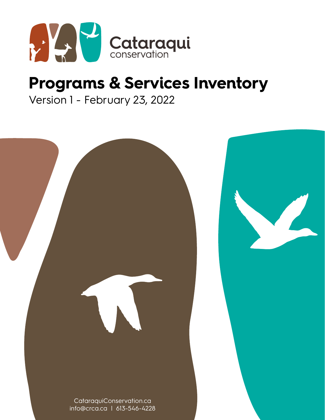

# **Programs & Services Inventory**

Version 1 - February 23, 2022

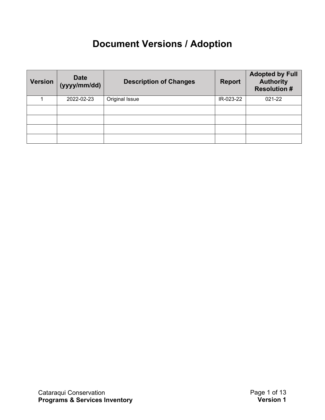# **Document Versions / Adoption**

| <b>Version</b> | <b>Date</b><br>(yyyy/mm/dd) | <b>Description of Changes</b> | <b>Report</b> | <b>Adopted by Full</b><br><b>Authority</b><br><b>Resolution #</b> |
|----------------|-----------------------------|-------------------------------|---------------|-------------------------------------------------------------------|
|                | 2022-02-23                  | Original Issue                | IR-023-22     | 021-22                                                            |
|                |                             |                               |               |                                                                   |
|                |                             |                               |               |                                                                   |
|                |                             |                               |               |                                                                   |
|                |                             |                               |               |                                                                   |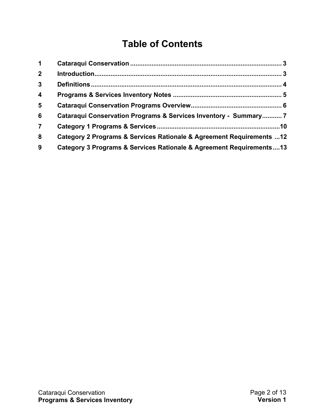# **Table of Contents**

| $\mathbf 1$             |                                                                      |  |
|-------------------------|----------------------------------------------------------------------|--|
| 2 <sup>1</sup>          |                                                                      |  |
| $\mathbf{3}$            |                                                                      |  |
| $\overline{\mathbf{4}}$ |                                                                      |  |
| $5\phantom{1}$          |                                                                      |  |
| 6                       | Cataraqui Conservation Programs & Services Inventory - Summary 7     |  |
| $\overline{7}$          |                                                                      |  |
| 8                       | Category 2 Programs & Services Rationale & Agreement Requirements 12 |  |
| 9                       | Category 3 Programs & Services Rationale & Agreement Requirements13  |  |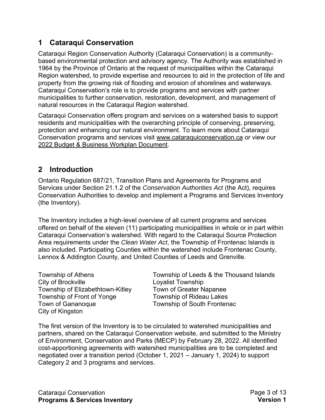#### <span id="page-3-0"></span>**1 Cataraqui Conservation**

Cataraqui Region Conservation Authority (Cataraqui Conservation) is a communitybased environmental protection and advisory agency. The Authority was established in 1964 by the Province of Ontario at the request of municipalities within the Cataraqui Region watershed, to provide expertise and resources to aid in the protection of life and property from the growing risk of flooding and erosion of shorelines and waterways. Cataraqui Conservation's role is to provide programs and services with partner municipalities to further conservation, restoration, development, and management of natural resources in the Cataraqui Region watershed.

Cataraqui Conservation offers program and services on a watershed basis to support residents and municipalities with the overarching principle of conserving, preserving, protection and enhancing our natural environment. To learn more about Cataraqui Conservation programs and services visit [www.cataraquiconservation.ca](http://www.cataraquiconservation.ca/) or view our [2022 Budget & Business Workplan Document.](https://www.crca.ca/wp-content/uploads/PDFs/Budget/2022-Budget&Workplan.pdf)

#### <span id="page-3-1"></span>**2 Introduction**

Ontario Regulation 687/21, Transition Plans and Agreements for Programs and Services under Section 21.1.2 of the *Conservation Authorities Act* (the Act), requires Conservation Authorities to develop and implement a Programs and Services Inventory (the Inventory).

The Inventory includes a high-level overview of all current programs and services offered on behalf of the eleven (11) participating municipalities in whole or in part within Cataraqui Conservation's watershed. With regard to the Cataraqui Source Protection Area requirements under the *Clean Water Act*, the Township of Frontenac Islands is also included. Participating Counties within the watershed include Frontenac County, Lennox & Addington County, and United Counties of Leeds and Grenville.

City of Brockville **Loyalist Township** Township of Elizabethtown-Kitley Town of Greater Napanee Township of Front of Yonge Township of Rideau Lakes Town of Gananoque Township of South Frontenac City of Kingston

Township of Athens Township of Leeds & the Thousand Islands

The first version of the Inventory is to be circulated to watershed municipalities and partners, shared on the Cataraqui Conservation website, and submitted to the Ministry of Environment, Conservation and Parks (MECP) by February 28, 2022. All identified cost-apportioning agreements with watershed municipalities are to be completed and negotiated over a transition period (October 1, 2021 – January 1, 2024) to support Category 2 and 3 programs and services.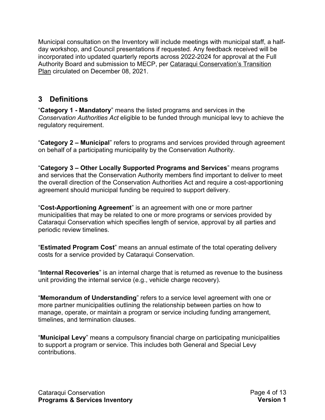Municipal consultation on the Inventory will include meetings with municipal staff, a halfday workshop, and Council presentations if requested. Any feedback received will be incorporated into updated quarterly reports across 2022-2024 for approval at the Full Authority Board and sub[mission to MECP, per Cataraqui Conservati](https://www.crca.ca/wp-content/uploads/PDFs/reports-publications/2021-CataraquiConservation-TransitionPlan.pdf)on's Transition Plan circulated on December 08, 2021.

#### <span id="page-4-0"></span>**3 Definitions**

"**Category 1 - Mandatory**" means the listed programs and services in the *Conservation Authorities Act* eligible to be funded through municipal levy to achieve the regulatory requirement.

"**Category 2 – Municipal**" refers to programs and services provided through agreement on behalf of a participating municipality by the Conservation Authority.

"**Category 3 – Other Locally Supported Programs and Services**" means programs and services that the Conservation Authority members find important to deliver to meet the overall direction of the Conservation Authorities Act and require a cost-apportioning agreement should municipal funding be required to support delivery.

"**Cost-Apportioning Agreement**" is an agreement with one or more partner municipalities that may be related to one or more programs or services provided by Cataraqui Conservation which specifies length of service, approval by all parties and periodic review timelines.

"**Estimated Program Cost**" means an annual estimate of the total operating delivery costs for a service provided by Cataraqui Conservation.

"**Internal Recoveries**" is an internal charge that is returned as revenue to the business unit providing the internal service (e.g., vehicle charge recovery).

"**Memorandum of Understanding**" refers to a service level agreement with one or more partner municipalities outlining the relationship between parties on how to manage, operate, or maintain a program or service including funding arrangement, timelines, and termination clauses.

"**Municipal Levy**" means a compulsory financial charge on participating municipalities to support a program or service. This includes both General and Special Levy contributions.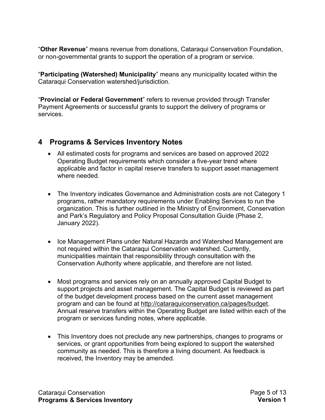"**Other Revenue**" means revenue from donations, Cataraqui Conservation Foundation, or non-governmental grants to support the operation of a program or service.

"**Participating (Watershed) Municipality**" means any municipality located within the Cataraqui Conservation watershed/jurisdiction.

"**Provincial or Federal Government**" refers to revenue provided through Transfer Payment Agreements or successful grants to support the delivery of programs or services.

#### <span id="page-5-0"></span>**4 Programs & Services Inventory Notes**

- All estimated costs for programs and services are based on approved 2022 Operating Budget requirements which consider a five-year trend where applicable and factor in capital reserve transfers to support asset management where needed
- The Inventory indicates Governance and Administration costs are not Category 1 programs, rather mandatory requirements under Enabling Services to run the organization. This is further outlined in the Ministry of Environment, Conservation and Park's Regulatory and Policy Proposal Consultation Guide (Phase 2, January 2022).
- Ice Management Plans under Natural Hazards and Watershed Management are not required within the Cataraqui Conservation watershed. Currently, municipalities maintain that responsibility through consultation with the Conservation Authority where applicable, and therefore are not listed.
- Most programs and services rely on an annually approved Capital Budget to support projects and asset management. The Capital Budget is reviewed as part of the budget development process based on the current asset management program and can be found at [http://cataraquiconservation.ca/pages/budget.](http://cataraquiconservation.ca/pages/budget) Annual reserve transfers within the Operating Budget are listed within each of the program or services funding notes, where applicable.
- This Inventory does not preclude any new partnerships, changes to programs or services, or grant opportunities from being explored to support the watershed community as needed. This is therefore a living document. As feedback is received, the Inventory may be amended.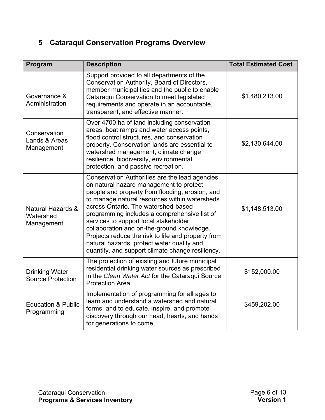## <span id="page-6-0"></span>**5 Cataraqui Conservation Programs Overview**

| Program                                           | <b>Description</b>                                                                                                                                                                                                                                                                                                                                                                                                                                                                                                                  | <b>Total Estimated Cost</b> |
|---------------------------------------------------|-------------------------------------------------------------------------------------------------------------------------------------------------------------------------------------------------------------------------------------------------------------------------------------------------------------------------------------------------------------------------------------------------------------------------------------------------------------------------------------------------------------------------------------|-----------------------------|
| Governance &<br>Administration                    | Support provided to all departments of the<br>Conservation Authority, Board of Directors,<br>member municipalities and the public to enable<br>Cataraqui Conservation to meet legislated<br>requirements and operate in an accountable,<br>transparent, and effective manner.                                                                                                                                                                                                                                                       | \$1,480,213.00              |
| Conservation<br>Lands & Areas<br>Management       | Over 4700 ha of land including conservation<br>areas, boat ramps and water access points,<br>flood control structures, and conservation<br>property. Conservation lands are essential to<br>watershed management, climate change<br>resilience, biodiversity, environmental<br>protection, and passive recreation.                                                                                                                                                                                                                  | \$2,130,644.00              |
| Natural Hazards &<br>Watershed<br>Management      | Conservation Authorities are the lead agencies<br>on natural hazard management to protect<br>people and property from flooding, erosion, and<br>to manage natural resources within watersheds<br>across Ontario. The watershed-based<br>programming includes a comprehensive list of<br>services to support local stakeholder<br>collaboration and on-the-ground knowledge.<br>Projects reduce the risk to life and property from<br>natural hazards, protect water quality and<br>quantity, and support climate change resiliency. | \$1,148,513.00              |
| <b>Drinking Water</b><br><b>Source Protection</b> | The protection of existing and future municipal<br>residential drinking water sources as prescribed<br>in the Clean Water Act for the Cataraqui Source<br>Protection Area.                                                                                                                                                                                                                                                                                                                                                          | \$152,000.00                |
| <b>Education &amp; Public</b><br>Programming      | Implementation of programming for all ages to<br>learn and understand a watershed and natural<br>forms, and to educate, inspire, and promote<br>discovery through our head, hearts, and hands<br>for generations to come.                                                                                                                                                                                                                                                                                                           | \$459,202.00                |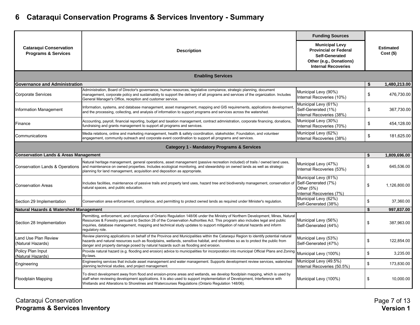# **6 Cataraqui Conservation Programs & Services Inventory - Summary**

|                                                                 |                                                                                                                                                                                                                                                                                                                                                                                                                | <b>Funding Sources</b>                                                                                                                  | <b>Estimated</b><br>$Cost($ \$) |  |  |  |  |  |  |
|-----------------------------------------------------------------|----------------------------------------------------------------------------------------------------------------------------------------------------------------------------------------------------------------------------------------------------------------------------------------------------------------------------------------------------------------------------------------------------------------|-----------------------------------------------------------------------------------------------------------------------------------------|---------------------------------|--|--|--|--|--|--|
| <b>Cataragui Conservation</b><br><b>Programs &amp; Services</b> | <b>Description</b>                                                                                                                                                                                                                                                                                                                                                                                             | <b>Municipal Levy</b><br><b>Provincial or Federal</b><br><b>Self-Generated</b><br>Other (e.g., Donations)<br><b>Internal Recoveries</b> |                                 |  |  |  |  |  |  |
| <b>Enabling Services</b>                                        |                                                                                                                                                                                                                                                                                                                                                                                                                |                                                                                                                                         |                                 |  |  |  |  |  |  |
| <b>Governance and Administration</b>                            |                                                                                                                                                                                                                                                                                                                                                                                                                |                                                                                                                                         | 1,480,213.00<br>\$              |  |  |  |  |  |  |
| <b>Corporate Services</b>                                       | Administration, Board of Director's governance, human resources, legislative compiance, strategic planning, document<br>management, corporate policy and sustainabilty to support the delivery of all programs and services of the organization. Includes<br>General Manager's Office, reception and customer service.                                                                                         | Municipal Levy (90%)<br>Internal Recoveries (10%)                                                                                       | \$<br>476,730.00                |  |  |  |  |  |  |
| Information Management                                          | Information, systems, and database management, asset management, mapping and GIS requirements, applications developmen<br>and the processing, collecting, and analysis of information to support programs and services across the watershed.                                                                                                                                                                   | Municipal Levy (61%)<br>Self-Generated (1%)<br>Internal Recoveries (38%)                                                                | \$<br>367,730.00                |  |  |  |  |  |  |
| Finance                                                         | Accounting, payroll, financial reporting, budget and taxation management, contract admnistration, corporate financing, donations,<br>fundraising and grants management to support all programs and services.                                                                                                                                                                                                   | Municipal Levy (30%)<br>Internal Recoveries (70%)                                                                                       | \$<br>454,128.00                |  |  |  |  |  |  |
| Communications                                                  | Media relations, online and marketing management, health & safety coordination, stakeholder, Foundation, and volunteer<br>engagement, community outreach and corporate event coordination to support all programs and services.                                                                                                                                                                                | Municipal Levy (62%)<br>Internal Recoveries (38%)                                                                                       | \$<br>181,625.00                |  |  |  |  |  |  |
|                                                                 | <b>Category 1 - Mandatory Programs &amp; Services</b>                                                                                                                                                                                                                                                                                                                                                          |                                                                                                                                         |                                 |  |  |  |  |  |  |
| <b>Conservation Lands &amp; Areas Management</b>                |                                                                                                                                                                                                                                                                                                                                                                                                                |                                                                                                                                         | \$<br>1,809,696.00              |  |  |  |  |  |  |
| <b>Conservation Lands &amp; Operations</b>                      | Natural heritage management, general operations, asset management (passive recreation included) of trails / owned land uses,<br>and maintenance on owned properties. Includes ecological monitoring, and stewardship on owned lands as well as strategic<br>planning for land management, acquisition and deposition as appropriate.                                                                           | Municipal Levy (47%)<br>Internal Recoveries (53%)                                                                                       | \$<br>645,536.00                |  |  |  |  |  |  |
| <b>Conservation Areas</b>                                       | Municipal Levy (81%)<br>Self-Generated (7%)<br>Includes facilities, maintenance of passive trails and property land uses, hazard tree and biodiversity management, conservation of<br>natural spaces, and public education.<br>Other $(5%)$<br>Internal Recoveries (7%)                                                                                                                                        |                                                                                                                                         | \$<br>1,126,800.00              |  |  |  |  |  |  |
| Section 29 Implementation                                       | Conservation area enforcement, compliance, and permitting to protect owned lands as required under Minister's regulation.                                                                                                                                                                                                                                                                                      | Municipal Levy (62%)<br>Self-Generated (38%)                                                                                            | \$<br>37,360.00                 |  |  |  |  |  |  |
| <b>Natural Hazards &amp; Watershed Management</b>               |                                                                                                                                                                                                                                                                                                                                                                                                                |                                                                                                                                         | 997,837.00<br>\$                |  |  |  |  |  |  |
| Section 28 Implementation                                       | Permitting, enforcement, and compliance of Ontario Regulation 148/06 under the Ministry of Northern Development, Mines, Natural<br>Resources & Forestry persuant to Section 28 of the Conservation Authorities Act. This program also includes legal and public<br>inquiries, database management, mapping and technical study updates to support mitigation of natural hazards and inform<br>regulatory role. | Municipal Levy (56%)<br>Self-Generated (44%)                                                                                            | 387,963.00<br>\$                |  |  |  |  |  |  |
| Land Use Plan Review<br>(Natural Hazards)                       | Review planning applications on behalf of the Province and Municipalities within the Cataraqui Region to identify potential natural<br>hazards and natural resources such as floodplains, wetlands, sensitive habitat, and shorelines so as to protect the public from<br>danger and property damage posed by natural hazards such as flooding and erosion.                                                    | Municipal Levy (53%)<br>Self-Generated (47%)                                                                                            | \$<br>122,854.00                |  |  |  |  |  |  |
| Policy Plan Input<br>(Natural Hazards)                          | Provide natural hazard (e.g. flooding and erosion) advice to municipalities for incorporation into municipal Official Plans and Zoning<br>By-laws.                                                                                                                                                                                                                                                             | Municipal Levy (100%)                                                                                                                   | \$<br>3,235.00                  |  |  |  |  |  |  |
| Engineering                                                     | Engineering services that include asset management and water management. Supports development review services, watershed<br>planning technical studies, and project management.                                                                                                                                                                                                                                | Municipal Levy (49.5%)<br>Internal Recoveries (50.5%)                                                                                   | \$<br>173,830.00                |  |  |  |  |  |  |
| <b>Floodplain Mapping</b>                                       | To direct development away from flood and erosion-prone areas and wetlands, we develop floodplain mapping, which is used by<br>staff when reviewing development applications. It is also used to support implementation of Development, Interference with<br>Wetlands and Alterations to Shorelines and Watercourses Regulations (Ontario Regulation 148/06).                                                  | Municipal Levy (100%)                                                                                                                   | \$<br>10.000.00                 |  |  |  |  |  |  |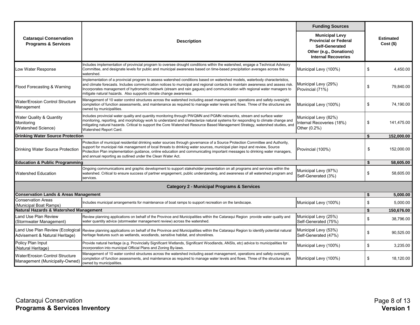|                                                                          |                                                                                                                                                                                                                                                                                                                                                                                                                                                                  | <b>Funding Sources</b>                                                                                                           |    |                                 |  |
|--------------------------------------------------------------------------|------------------------------------------------------------------------------------------------------------------------------------------------------------------------------------------------------------------------------------------------------------------------------------------------------------------------------------------------------------------------------------------------------------------------------------------------------------------|----------------------------------------------------------------------------------------------------------------------------------|----|---------------------------------|--|
| <b>Cataraqui Conservation</b><br><b>Programs &amp; Services</b>          | <b>Description</b>                                                                                                                                                                                                                                                                                                                                                                                                                                               | <b>Municipal Levy</b><br><b>Provincial or Federal</b><br>Self-Generated<br>Other (e.g., Donations)<br><b>Internal Recoveries</b> |    | <b>Estimated</b><br>$Cost($ \$) |  |
| Low Water Response                                                       | Includes implementation of provincial program to oversee drought conditions within the watershed, engage a Technical Advisory<br>Committee, and designate levels for public and municipal awareness based on time-based precipitation averages across the<br>watershed.                                                                                                                                                                                          | Municipal Levy (100%)                                                                                                            | \$ | 4,450.00                        |  |
| Flood Forecasting & Warning                                              | Implementation of a provincial program to assess watershed conditions based on watershed models, waterbody characteristics,<br>and climate forecasts. Includes communication notices to municipal and regional contacts to maintain awareness and assess risk.<br>Incorporates management of hydrometric netowrk (stream and rain gagues) and communication with regional water managers to<br>mitigate natural hazards. Also supports climate change awareness. | Municipal Levy (29%)<br>Provincial (71%)                                                                                         | \$ | 79,840.00                       |  |
| <b>Water/Erosion Control Structure</b><br>Management                     | Management of 10 water control structures across the watershed including asset management, operations and safety oversight,<br>completion of function assessments, and maintenance as required to manage water levels and flows. Three of the structures are<br>owned by municipalities.                                                                                                                                                                         | Municipal Levy (100%)                                                                                                            | \$ | 74,190.00                       |  |
| Water Quality & Quantity<br>Monitoring<br>(Watershed Science)            | Includes provincial water quality and quantity monitoring through PWQMN and PGMN netoworks, stream and surface water<br>monitoring, reporting, and morphology work to understand and characterize natural systems for responding to climate change and<br>mitigating natural hazards. Critical to support the Core Watershed Resource Based Management Strategy, watershed studies, and<br>Watershed Report Card.                                                | Municipal Levy (82%)<br>Internal Recoveries (18%)<br>Other (0.2%)                                                                | \$ | 141,475.00                      |  |
| <b>Drinking Water Source Protection</b>                                  |                                                                                                                                                                                                                                                                                                                                                                                                                                                                  |                                                                                                                                  |    |                                 |  |
| <b>Drinking Water Source Protection</b>                                  | Protection of municipal residential drinking water sources through governance of a Source Protection Committee and Authority,<br>support for municipal risk management of local threats to drinking water sources, municipal plan input and review, Source<br>Protection Plan implementation guidance, online education and communicating important messages to drinking water managers,<br>and annual reporting as outlined under the Clean Water Act.          | Provincial (100%)                                                                                                                | \$ | 152,000.00                      |  |
| <b>Education &amp; Public Programming</b>                                |                                                                                                                                                                                                                                                                                                                                                                                                                                                                  |                                                                                                                                  | \$ | 58,605.00                       |  |
| <b>Watershed Education</b>                                               | Ongoing communications and graphic development to support stakeholder presentation on all programs and services within the<br>watershed. Critical to ensure success of partner engagement, public understanding, and awareness of all watershed program and<br>services.                                                                                                                                                                                         | Municipal Levy (97%)<br>Self-Generated (3%)                                                                                      | \$ | 58,605.00                       |  |
|                                                                          | <b>Category 2 - Municipal Programs &amp; Services</b>                                                                                                                                                                                                                                                                                                                                                                                                            |                                                                                                                                  |    |                                 |  |
| <b>Conservation Lands &amp; Areas Management</b>                         |                                                                                                                                                                                                                                                                                                                                                                                                                                                                  |                                                                                                                                  | \$ | 5,000.00                        |  |
| <b>Conservation Areas</b><br>(Municipal Boat Ramps)                      | Includes municipal arrangements for maintenance of boat ramps to support recreation on the landscape.                                                                                                                                                                                                                                                                                                                                                            | Municipal Levy (100%)                                                                                                            | \$ | 5,000.00                        |  |
| Natural Hazards & Watershed Management                                   |                                                                                                                                                                                                                                                                                                                                                                                                                                                                  |                                                                                                                                  | \$ | 150,676.00                      |  |
| Land Use Plan Review<br>(Stormwater Management)                          | Review planning applications on behalf of the Province and Municipalities within the Cataraqui Region provide water quality and<br>water quantity advice (stormwater management review) across the watershed.                                                                                                                                                                                                                                                    | Municipal Levy (25%)<br>Self-Generated (75%)                                                                                     | \$ | 38,796.00                       |  |
| Land Use Plan Review (Ecologica<br>Advisement & Natural Heritage)        | Review planning applications on behalf of the Province and Municipalities within the Cataraqui Region to identify potential natural<br>heritage features such as wetlands, woodlands, sensitive habitat, and shorelines.                                                                                                                                                                                                                                         | Municipal Levy (53%)<br>Self-Generated (47%)                                                                                     | \$ | 90,525.00                       |  |
| Policy Plan Input<br>(Natural Heritage)                                  | Provide natural heritage (e.g. Provincially Significant Wetlands, Significant Woodlands, ANSIs, etc) advice to municipalities for<br>incorporation into municipal Official Plans and Zoning By-laws.                                                                                                                                                                                                                                                             | Municipal Levy (100%)                                                                                                            | \$ | 3,235.00                        |  |
| <b>Water/Erosion Control Structure</b><br>Management (Municipally-Owned) | Management of 10 water control structures across the watershed including asset management, operations and safety oversight,<br>completion of function assessments, and maintenance as required to manage water levels and flows. Three of the structures are<br>owned by municipalities.                                                                                                                                                                         | Municipal Levy (100%)                                                                                                            | \$ | 18,120.00                       |  |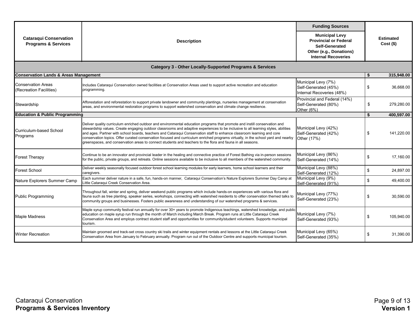|                                                                 |                                                                                                                                                                                                                                                                                                                                                                                                                                                                                                                                                                                                                                               | <b>Funding Sources</b>                                                                                                                  | <b>Estimated</b><br>$Cost($ \$) |  |
|-----------------------------------------------------------------|-----------------------------------------------------------------------------------------------------------------------------------------------------------------------------------------------------------------------------------------------------------------------------------------------------------------------------------------------------------------------------------------------------------------------------------------------------------------------------------------------------------------------------------------------------------------------------------------------------------------------------------------------|-----------------------------------------------------------------------------------------------------------------------------------------|---------------------------------|--|
| <b>Cataraqui Conservation</b><br><b>Programs &amp; Services</b> | <b>Description</b>                                                                                                                                                                                                                                                                                                                                                                                                                                                                                                                                                                                                                            | <b>Municipal Levy</b><br><b>Provincial or Federal</b><br><b>Self-Generated</b><br>Other (e.g., Donations)<br><b>Internal Recoveries</b> |                                 |  |
|                                                                 | <b>Category 3 - Other Locally-Supported Programs &amp; Services</b>                                                                                                                                                                                                                                                                                                                                                                                                                                                                                                                                                                           |                                                                                                                                         |                                 |  |
| <b>Conservation Lands &amp; Areas Management</b>                |                                                                                                                                                                                                                                                                                                                                                                                                                                                                                                                                                                                                                                               |                                                                                                                                         | 315,948.00<br>\$                |  |
| <b>Conservation Areas</b><br>(Recreation Facilities)            | Includes Cataraqui Conservation owned facilities at Conservation Areas used to support active recreation and education<br>programming.                                                                                                                                                                                                                                                                                                                                                                                                                                                                                                        | Municipal Levy (7%)<br>Self-Generated (45%)<br>Internal Recoveries (48%)                                                                | \$<br>36,668.00                 |  |
| Stewardship                                                     | Afforestation and reforestation to support private landowner and community plantings, nurseries management at conservation<br>areas, and environmental restoration programs to support watershed conservation and climate change resilience.                                                                                                                                                                                                                                                                                                                                                                                                  | Provincial and Federal (14%)<br>Self-Generated (80%)<br>Other $(6%)$                                                                    | \$<br>279,280.00                |  |
| <b>Education &amp; Public Programming</b>                       |                                                                                                                                                                                                                                                                                                                                                                                                                                                                                                                                                                                                                                               |                                                                                                                                         | \$<br>400,597.00                |  |
| Curriculum-based School<br>Programs                             | Deliver quality curriculum enriched outdoor and environmental education programs that promote and instill conservation and<br>stewardship values. Create engaging outdoor classrooms and adaptive experiences to be inclusive to all learning styles, abilities<br>and ages. Partner with school boards, teachers and Cataraqui Conservation staff to enhance classroom learning and core<br>conservation topics. Offer curated conservation focused and curriculum enriched programs virtually, in the school yard and nearby<br>greenspaces, and conservation areas to connect students and teachers to the flora and fauna in all seasons. | Municipal Levy (42%)<br>Self-Generated (42%)<br>Other (17%)                                                                             | 141,220.00<br>\$                |  |
| <b>Forest Therapy</b>                                           | Continue to be an innovator and provincial leader in the healing and connective practice of Forest Bathing via in-person sessions<br>for the public, private groups, and retreats. Online sessions available to be inclusive to all members of the watershed community.                                                                                                                                                                                                                                                                                                                                                                       | Municipal Levy (86%)<br>Self-Generated (14%)                                                                                            | \$<br>17,160.00                 |  |
| <b>Forest School</b>                                            | Deliver weekly seasonally focused outdoor forest school learning modules for early learners, home school learners and their<br>caregivers.                                                                                                                                                                                                                                                                                                                                                                                                                                                                                                    | Municipal Levy (88%)<br>Self-Generated (12%)                                                                                            | \$<br>24,897.00                 |  |
| Nature Explorers Summer Camp                                    | Each summer deliver nature in a safe, fun, hands-on manner, Cataraqui Conservation's Nature Explorers Summer Day Camp at<br>Little Cataraqui Creek Conservation Area.                                                                                                                                                                                                                                                                                                                                                                                                                                                                         | Municipal Levy (9%)<br>Self-Generated (91%)                                                                                             | \$<br>49,400.00                 |  |
| <b>Public Programming</b>                                       | Throughout fall, winter and spring, deliver weekend public programs which include hands-on experiences with various flora and<br>fauna such as tree planting, speaker series, workshops, connecting with watershed residents to offer conservation themed talks to<br>community groups and businesses. Fosters public awareness and understanding of our watershed programs & services.                                                                                                                                                                                                                                                       | Municipal Levy (77%)<br>Self-Generated (23%)                                                                                            | 30.590.00<br>\$                 |  |
| <b>Maple Madness</b>                                            | Maple syrup community festival run annually for over 30+ years to promote Indigenous teachings, watershed knowledge, and public<br>education on maple syrup run through the month of March including March Break. Program runs at Little Cataragui Creek<br>Conservation Area and employs contract student staff and opportunities for community/student volunteers. Supports municipal<br>tourism.                                                                                                                                                                                                                                           | Municipal Levy (7%)<br>Self-Generated (93%)                                                                                             | \$<br>105,940.00                |  |
| <b>Winter Recreation</b>                                        | Maintain groomed and track-set cross country ski trails and winter equipment rentals and lessons at the Little Cataraqui Creek<br>Conservation Area from January to February annually. Program run out of the Outdoor Centre and supports municipal tourism.                                                                                                                                                                                                                                                                                                                                                                                  | Municipal Levy (65%)<br>Self-Generated (35%)                                                                                            | \$<br>31,390.00                 |  |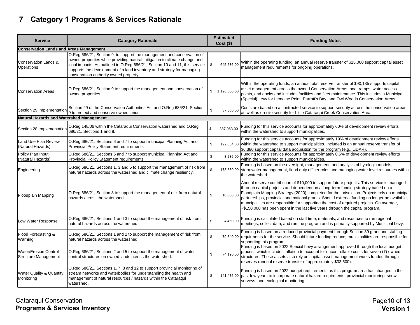# **7 Category 1 Programs & Services Rationale**

| <b>Service</b>                                              | <b>Category Rationale</b>                                                                                                                                                                                                                                                                                                                             | <b>Estimated</b><br>$Cost($ \$) | <b>Funding Notes</b>                                                                                                                                                                                                                                                                                                                                                                                                                                                                                                                                           |
|-------------------------------------------------------------|-------------------------------------------------------------------------------------------------------------------------------------------------------------------------------------------------------------------------------------------------------------------------------------------------------------------------------------------------------|---------------------------------|----------------------------------------------------------------------------------------------------------------------------------------------------------------------------------------------------------------------------------------------------------------------------------------------------------------------------------------------------------------------------------------------------------------------------------------------------------------------------------------------------------------------------------------------------------------|
| <b>Conservation Lands and Areas Management</b>              |                                                                                                                                                                                                                                                                                                                                                       |                                 |                                                                                                                                                                                                                                                                                                                                                                                                                                                                                                                                                                |
| <b>Conservation Lands &amp;</b><br><b>Operations</b>        | O.Reg 686/21, Section 9 to support the management and conservation of<br>owned properties while providing natural mitigation to climate change and<br>local impacts. As outlined in O.Reg 686/21, Section 10 and 11, this service<br>supports the development of a land inventory and strategy for managing<br>conservation authority owned property. | \$<br>645,536.00                | Within the operating funding, an annual reserve transfer of \$15,000 support capital asset<br>management requirements for ongoing operations.                                                                                                                                                                                                                                                                                                                                                                                                                  |
| <b>Conservation Areas</b>                                   | O.Reg 686/21, Section 9 to support the management and conservation of<br>owned properties                                                                                                                                                                                                                                                             | \$1,126,800.00                  | Within the operating funds, an annual total reserve transfer of \$90,135 supports capital<br>asset management across the owned Conservation Areas, boat ramps, water access<br>points, and docks and includes facilities and fleet maintenance. This includes a Municipal<br>(Special) Levy for Lemoine Point, Parrott's Bay, and Owl Woods Conservation Areas.                                                                                                                                                                                                |
| Section 29 Implementation                                   | Section 29 of the Conservation Authorities Act and O.Reg 686/21, Section<br>9 to protect and conserve owned lands.                                                                                                                                                                                                                                    | $\mathbf{\hat{s}}$<br>37.360.00 | Costs are based on a contracted service to support security across the conservation areas<br>as well as on-site security for Little Cataraqui Creek Conservation Area.                                                                                                                                                                                                                                                                                                                                                                                         |
| <b>Natural Hazards and Watershed Management</b>             |                                                                                                                                                                                                                                                                                                                                                       |                                 |                                                                                                                                                                                                                                                                                                                                                                                                                                                                                                                                                                |
| Section 28 Implementation                                   | O.Reg 148/06 within the Cataraqui Conservation watershed and O.Reg<br>686/21, Sections 1 and 8.                                                                                                                                                                                                                                                       | $\mathbb{S}$<br>387.963.00      | Funding for this service accounts for approximately 60% of development review efforts<br>within the watershed to support municipalities.                                                                                                                                                                                                                                                                                                                                                                                                                       |
| Land Use Plan Review<br>(Natural Hazards)                   | O.Reg 686/21, Sections 6 and 7 to support municipal Planning Act and<br><b>Provincial Policy Statement requirements</b>                                                                                                                                                                                                                               | \$<br>122,854.00                | Funding for this service accounts for approximately 19% of development review efforts<br>within the watershed to support municipalities. Included is an annual reserve transfer of<br>\$6,380 support capital data acquisition for the program (e.g., LiDAR).                                                                                                                                                                                                                                                                                                  |
| Policy Plan Input<br>(Natural Hazards)                      | O.Reg 686/21, Sections 6 and 7 to support municipal Planning Act and<br><b>Provincial Policy Statement requirements</b>                                                                                                                                                                                                                               | \$<br>3,235.00                  | Funding for this service accounts for approximately 0.5% of development review efforts<br>within the watershed to support municipalities.                                                                                                                                                                                                                                                                                                                                                                                                                      |
| Engineering                                                 | O.Reg 686/21, Sections 1, 3 and 5 to support the management of risk from<br>natural hazards across the watershed and climate change resiliency.                                                                                                                                                                                                       | \$<br>173,830.00                | Funding is based on the oversight, management, and analysis of hyrologic models,<br>stormwater management, flood duty officer roles and managing water level resources within<br>the watershed.                                                                                                                                                                                                                                                                                                                                                                |
| <b>Floodplain Mapping</b>                                   | O.Reg 686/21, Section 8 to support the management of risk from natural<br>hazards across the watershed.                                                                                                                                                                                                                                               | 10,000.00<br>\$                 | Annual reserve contribution of \$10,000 to support future projects. This service is managed<br>through capital projects and dependent on a long-term funding strategy based on a<br>Floodplain Mapping Strategy (2020) completed for the jurisdiction. Projects rely on municipal<br>partnerships, provincial and national grants. Should external funding no longer be available,<br>muncipalities are responsible for supporting the cost of required projects. On average,<br>-\$150,000 has been spent in the last five years through the capital program. |
| Low Water Response                                          | O.Reg 686/21, Sections 1 and 3 to support the management of risk from<br>natural hazards across the watershed.                                                                                                                                                                                                                                        | \$<br>4,450.00                  | Funding is calculated based on staff time, materials, and resources to run regional<br>meetings, collect data, and run the program and is primarily supported by Municipal Levy.                                                                                                                                                                                                                                                                                                                                                                               |
| Flood Forecasting &<br>Warning                              | O.Reg 686/21, Sections 1 and 2 to support the management of risk from<br>natural hazards across the watershed.                                                                                                                                                                                                                                        | \$<br>79,840.00                 | Funding is based on a reduced provincial payment through Section 39 grant and staffing<br>requirments for the service. Should future funding reduce, municipalities are responsible for<br>supporting this program.                                                                                                                                                                                                                                                                                                                                            |
| <b>Water/Erosion Control</b><br><b>Structure Management</b> | O.Reg 686/21, Sections 2 and 5 to support the management of water<br>control structures on owned lands across the watershed.                                                                                                                                                                                                                          | 74,190.00<br>\$                 | Funding is based on 2022 Special Levy arrangement approved through the local budget<br>process which includes inflation to account for uncontrollable costs for seven (7) owned<br>structures. These assets also rely on capital asset management works funded through<br>reserves (annual reserve transfer of approximately \$33,500).                                                                                                                                                                                                                        |
| <b>Water Quality &amp; Quantity</b><br>Monitoring           | O.Reg 686/21, Sections 1, 7, 8 and 12 to support provincial monitoring of<br>stream networks and waterbodies for understanding the health and<br>management of natural resources / hazards within the Cataraqui<br>watershed.                                                                                                                         | \$<br>141,475.00                | Funding is based on 2022 budget requirements as this program area has changed in the<br>past few years to incorporate natural hazard requirments, provincial monitoring, snow<br>surveys, and ecological monitoring.                                                                                                                                                                                                                                                                                                                                           |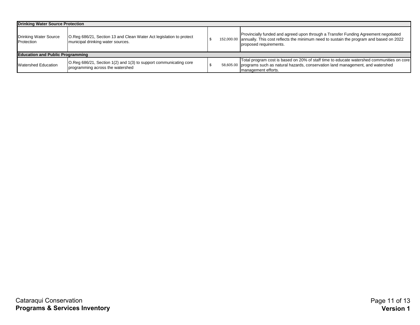| <b>Drinking Water Source Protection</b>    |                                                                                                          |  |                                                                                                                                                                                                                    |  |  |  |  |  |
|--------------------------------------------|----------------------------------------------------------------------------------------------------------|--|--------------------------------------------------------------------------------------------------------------------------------------------------------------------------------------------------------------------|--|--|--|--|--|
| <b>Drinking Water Source</b><br>Protection | O.Reg 686/21, Section 13 and Clean Water Act legislation to protect<br>municipal drinking water sources. |  | Provincially funded and agreed upon through a Transfer Funding Agreement negotiated<br>152,000.00 annually. This cost reflects the minimum need to sustain the program and based on 2022<br>proposed requirements. |  |  |  |  |  |
| <b>Education and Public Programming</b>    |                                                                                                          |  |                                                                                                                                                                                                                    |  |  |  |  |  |
| <b>Watershed Education</b>                 | O.Reg 686/21, Section 1(2) and 1(3) to support communicating core<br>programming across the watershed    |  | Total program cost is based on 20% of staff time to educate watershed communities on core<br>58,605.00 programs such as natural hazards, conservation land management, and watershed<br>management efforts.        |  |  |  |  |  |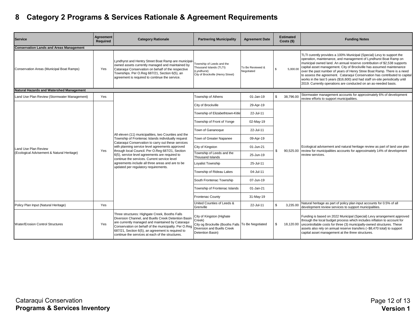## **8 Category 2 Programs & Services Rationale & Agreement Requirements**

| <b>Service</b>                                 | Agreement<br>Required                | <b>Category Rationale</b>                                                                                                                                                                                                                                                                                                                                                                                                     | <b>Partnering Municipality</b>                                                                                                             | <b>Agreement Date</b>          |              | <b>Estimated</b><br>$Costs$ (\$) | <b>Funding Notes</b>                                                                                                                                                                                                                                                                                                                                                                                                                                                                                                                                                                                       |
|------------------------------------------------|--------------------------------------|-------------------------------------------------------------------------------------------------------------------------------------------------------------------------------------------------------------------------------------------------------------------------------------------------------------------------------------------------------------------------------------------------------------------------------|--------------------------------------------------------------------------------------------------------------------------------------------|--------------------------------|--------------|----------------------------------|------------------------------------------------------------------------------------------------------------------------------------------------------------------------------------------------------------------------------------------------------------------------------------------------------------------------------------------------------------------------------------------------------------------------------------------------------------------------------------------------------------------------------------------------------------------------------------------------------------|
| <b>Conservation Lands and Areas Management</b> |                                      |                                                                                                                                                                                                                                                                                                                                                                                                                               |                                                                                                                                            |                                |              |                                  |                                                                                                                                                                                                                                                                                                                                                                                                                                                                                                                                                                                                            |
| Conservation Areas (Municipal Boat Ramps)      | Yes                                  | Lyndhyrst and Hentry Street Boat Ramp are municipal-<br>owned assets currently managed and maintained by<br>Cataraqui Conservation on behalf of the respective<br>Townships. Per O.Reg 687/21, Section 6(5), an<br>agreement is required to continue the service.                                                                                                                                                             | Township of Leeds and the<br>Thousand Islands (TLTI)<br>(Lyndhurst)<br>City of Brockville (Henry Street)                                   | To Be Reviewed &<br>Negotiated |              | 5.000.00                         | TLTI curently provides a 100% Municipal (Special) Levy to support the<br>operation, maintenance, and management of Lyndhurst Boat Ramp on<br>municipal owned land. An annual reserve contribution of \$2,538 supports<br>capital asset management. City of Brockville has assumed maintenance<br>over the past number of years of Henry Stree Boat Ramp. There is a need<br>to assess the agreement. Cataraqui Conservation has contributed to capital<br>works in the last 5 years (\$16,600) and had staff on-site periodically until<br>2019. Currently operations are conducted on an as-needed basis. |
| Natural Hazards and Watershed Management       |                                      |                                                                                                                                                                                                                                                                                                                                                                                                                               |                                                                                                                                            |                                |              |                                  |                                                                                                                                                                                                                                                                                                                                                                                                                                                                                                                                                                                                            |
| Land Use Plan Review (Stormwater Management)   | Yes                                  |                                                                                                                                                                                                                                                                                                                                                                                                                               | Township of Athens                                                                                                                         | 01-Jan-19                      | $\mathbb{S}$ | 38,796.00                        | Stormwater management accounts for approximately 6% of development<br>review efforts to support municipalities.                                                                                                                                                                                                                                                                                                                                                                                                                                                                                            |
|                                                |                                      |                                                                                                                                                                                                                                                                                                                                                                                                                               | City of Brockville                                                                                                                         | 29-Apr-19                      |              |                                  |                                                                                                                                                                                                                                                                                                                                                                                                                                                                                                                                                                                                            |
|                                                |                                      |                                                                                                                                                                                                                                                                                                                                                                                                                               | Township of Elizabethtown-Kitle                                                                                                            | 22-Jul-11                      |              |                                  |                                                                                                                                                                                                                                                                                                                                                                                                                                                                                                                                                                                                            |
|                                                |                                      | All eleven (11) municipalities, two Counties and the<br>Township of Frontenac Islands individually request<br>Cataraqui Conservation to carry out these services<br>with planning service level agreements approved<br>through local Council. Per O.Reg 687/21, Section<br>6(5), service level agreements are required to<br>continue the services. Current service level<br>agreements include all three areas and are to be | Township of Front of Yonge                                                                                                                 | 02-May-19                      |              |                                  |                                                                                                                                                                                                                                                                                                                                                                                                                                                                                                                                                                                                            |
|                                                |                                      |                                                                                                                                                                                                                                                                                                                                                                                                                               | Town of Gananoque                                                                                                                          | 22-Jul-11                      |              |                                  |                                                                                                                                                                                                                                                                                                                                                                                                                                                                                                                                                                                                            |
|                                                |                                      |                                                                                                                                                                                                                                                                                                                                                                                                                               | Town of Greater Napanee                                                                                                                    | 09-Apr-19                      |              |                                  |                                                                                                                                                                                                                                                                                                                                                                                                                                                                                                                                                                                                            |
| Land Use Plan Review                           | Yes                                  |                                                                                                                                                                                                                                                                                                                                                                                                                               | City of Kingston                                                                                                                           | 01-Jun-21                      | \$.          |                                  | Ecological advisement and natural heritage review as part of land use plan<br>90,525.00 review for municipalities accounts for approximately 14% of development                                                                                                                                                                                                                                                                                                                                                                                                                                            |
| (Ecological Advisement & Natural Heritage)     |                                      |                                                                                                                                                                                                                                                                                                                                                                                                                               | Township of Leeds and the<br><b>Thousand Islands</b>                                                                                       | 25-Jun-19                      |              |                                  | review services.                                                                                                                                                                                                                                                                                                                                                                                                                                                                                                                                                                                           |
|                                                | updated per regulatory requirements. |                                                                                                                                                                                                                                                                                                                                                                                                                               | Loyalist Township                                                                                                                          | 25-Jul-11                      |              |                                  |                                                                                                                                                                                                                                                                                                                                                                                                                                                                                                                                                                                                            |
|                                                |                                      | Township of Rideau Lakes                                                                                                                                                                                                                                                                                                                                                                                                      | 04-Jul-11                                                                                                                                  |                                |              |                                  |                                                                                                                                                                                                                                                                                                                                                                                                                                                                                                                                                                                                            |
|                                                |                                      |                                                                                                                                                                                                                                                                                                                                                                                                                               | South Frontenac Township                                                                                                                   | 07-Jun-19                      |              |                                  |                                                                                                                                                                                                                                                                                                                                                                                                                                                                                                                                                                                                            |
|                                                |                                      |                                                                                                                                                                                                                                                                                                                                                                                                                               | Township of Frontenac Islands                                                                                                              | 01-Jan-21                      |              |                                  |                                                                                                                                                                                                                                                                                                                                                                                                                                                                                                                                                                                                            |
|                                                |                                      |                                                                                                                                                                                                                                                                                                                                                                                                                               | <b>Frontenac County</b>                                                                                                                    | 31-May-19                      |              |                                  |                                                                                                                                                                                                                                                                                                                                                                                                                                                                                                                                                                                                            |
| Policy Plan Input (Natural Heritage)           | Yes                                  |                                                                                                                                                                                                                                                                                                                                                                                                                               | United Counties of Leeds &<br>Grenville                                                                                                    | 22-Jul-11                      |              | 3.235.00                         | Natural heritage as part of policy plan input accounts for 0.5% of all<br>development review services to support municipalities.                                                                                                                                                                                                                                                                                                                                                                                                                                                                           |
| <b>Water/Erosion Control Structures</b>        | Yes                                  | Three structures: Highgate Creek, Booths Falls<br>Diversion Channel, and Buells Creek Detention Basin<br>are currently managed and maintained by Cataraqui<br>Conservation on behalf of the municipality. Per O.Reg<br>687/21, Section 6(5), an agreement is required to<br>continue the services at each of the structures.                                                                                                  | City of Kingston (Highate<br>Creek)<br>City og Brockville (Booths Falls To Be Negotiated<br>Diversion and Buells Creek<br>Detention Basin) |                                | \$           | 18.120.00                        | Funding is based on 2022 Municipal (Special) Levy arrangement approved<br>through the local budget process which includes inflation to account for<br>uncontrollable costs for three (3) municipally-owned structures. These<br>assets also rely on annual reserve transfers (~\$8,470 total) to support<br>capital asset management at the three structures.                                                                                                                                                                                                                                              |